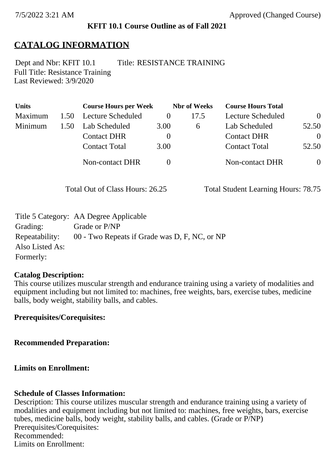### **KFIT 10.1 Course Outline as of Fall 2021**

## **CATALOG INFORMATION**

Full Title: Resistance Training Last Reviewed: 3/9/2020 Dept and Nbr: KFIT 10.1 Title: RESISTANCE TRAINING

| <b>Units</b> |      | <b>Course Hours per Week</b> |          | <b>Nbr</b> of Weeks | <b>Course Hours Total</b> |                |
|--------------|------|------------------------------|----------|---------------------|---------------------------|----------------|
| Maximum      | 1.50 | Lecture Scheduled            | $\theta$ | 17.5                | Lecture Scheduled         | $\theta$       |
| Minimum      | 1.50 | Lab Scheduled                | 3.00     | $\sigma$            | Lab Scheduled             | 52.50          |
|              |      | <b>Contact DHR</b>           | $\theta$ |                     | <b>Contact DHR</b>        | $\theta$       |
|              |      | <b>Contact Total</b>         | 3.00     |                     | <b>Contact Total</b>      | 52.50          |
|              |      | <b>Non-contact DHR</b>       |          |                     | Non-contact DHR           | $\overline{0}$ |

Total Out of Class Hours: 26.25 Total Student Learning Hours: 78.75

|                 | Title 5 Category: AA Degree Applicable        |
|-----------------|-----------------------------------------------|
| Grading:        | Grade or P/NP                                 |
| Repeatability:  | 00 - Two Repeats if Grade was D, F, NC, or NP |
| Also Listed As: |                                               |
| Formerly:       |                                               |

#### **Catalog Description:**

This course utilizes muscular strength and endurance training using a variety of modalities and equipment including but not limited to: machines, free weights, bars, exercise tubes, medicine balls, body weight, stability balls, and cables.

**Prerequisites/Corequisites:**

**Recommended Preparation:**

**Limits on Enrollment:**

### **Schedule of Classes Information:**

Description: This course utilizes muscular strength and endurance training using a variety of modalities and equipment including but not limited to: machines, free weights, bars, exercise tubes, medicine balls, body weight, stability balls, and cables. (Grade or P/NP) Prerequisites/Corequisites: Recommended: Limits on Enrollment: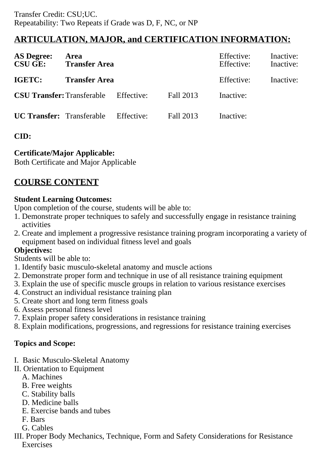# **ARTICULATION, MAJOR, and CERTIFICATION INFORMATION:**

| <b>AS Degree:</b><br><b>CSU GE:</b> | Area<br><b>Transfer Area</b> |            |           | Effective:<br>Effective: | Inactive:<br>Inactive: |
|-------------------------------------|------------------------------|------------|-----------|--------------------------|------------------------|
| <b>IGETC:</b>                       | <b>Transfer Area</b>         |            |           | Effective:               | Inactive:              |
| <b>CSU Transfer:</b> Transferable   |                              | Effective: | Fall 2013 | Inactive:                |                        |
| <b>UC Transfer:</b> Transferable    |                              | Effective: | Fall 2013 | Inactive:                |                        |

## **CID:**

## **Certificate/Major Applicable:**

[Both Certificate and Major Applicable](SR_ClassCheck.aspx?CourseKey=KFIT10.1)

# **COURSE CONTENT**

### **Student Learning Outcomes:**

Upon completion of the course, students will be able to:

- 1. Demonstrate proper techniques to safely and successfully engage in resistance training activities
- 2. Create and implement a progressive resistance training program incorporating a variety of equipment based on individual fitness level and goals

### **Objectives:**

Students will be able to:

- 1. Identify basic musculo-skeletal anatomy and muscle actions
- 2. Demonstrate proper form and technique in use of all resistance training equipment
- 3. Explain the use of specific muscle groups in relation to various resistance exercises
- 4. Construct an individual resistance training plan
- 5. Create short and long term fitness goals
- 6. Assess personal fitness level
- 7. Explain proper safety considerations in resistance training
- 8. Explain modifications, progressions, and regressions for resistance training exercises

## **Topics and Scope:**

- I. Basic Musculo-Skeletal Anatomy
- II. Orientation to Equipment
	- A. Machines
	- B. Free weights
	- C. Stability balls
	- D. Medicine balls
	- E. Exercise bands and tubes
	- F. Bars
	- G. Cables
- III. Proper Body Mechanics, Technique, Form and Safety Considerations for Resistance **Exercises**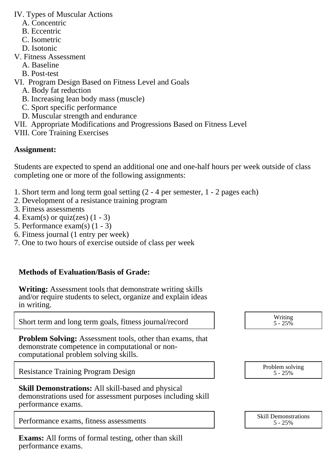IV. Types of Muscular Actions

- A. Concentric
- B. Eccentric
- C. Isometric
- D. Isotonic
- V. Fitness Assessment
	- A. Baseline
	- B. Post-test
- VI. Program Design Based on Fitness Level and Goals
	- A. Body fat reduction
	- B. Increasing lean body mass (muscle)
	- C. Sport specific performance
	- D. Muscular strength and endurance
- VII. Appropriate Modifications and Progressions Based on Fitness Level
- VIII. Core Training Exercises

## **Assignment:**

Students are expected to spend an additional one and one-half hours per week outside of class completing one or more of the following assignments:

- 1. Short term and long term goal setting (2 4 per semester, 1 2 pages each)
- 2. Development of a resistance training program
- 3. Fitness assessments
- 4. Exam(s) or quiz(zes)  $(1 3)$
- 5. Performance exam(s) (1 3)
- 6. Fitness journal (1 entry per week)
- 7. One to two hours of exercise outside of class per week

# **Methods of Evaluation/Basis of Grade:**

**Writing:** Assessment tools that demonstrate writing skills and/or require students to select, organize and explain ideas in writing.

Short term and long term goals, fitness journal/record Writing 1.1 Writing 1.25

**Problem Solving:** Assessment tools, other than exams, that demonstrate competence in computational or noncomputational problem solving skills.

Resistance Training Program Design Problem solving Problem solving Problem solving

| <b>Skill Demonstrations:</b> All skill-based and physical   |  |
|-------------------------------------------------------------|--|
| demonstrations used for assessment purposes including skill |  |
| performance exams.                                          |  |

Performance exams, fitness assessments

**Exams:** All forms of formal testing, other than skill performance exams.

| Writing<br>$5 - 25\%$ |  |
|-----------------------|--|
|                       |  |

5 - 25%

| <b>Skill Demonstrations</b> |  |  |
|-----------------------------|--|--|
| $5 - 25%$                   |  |  |